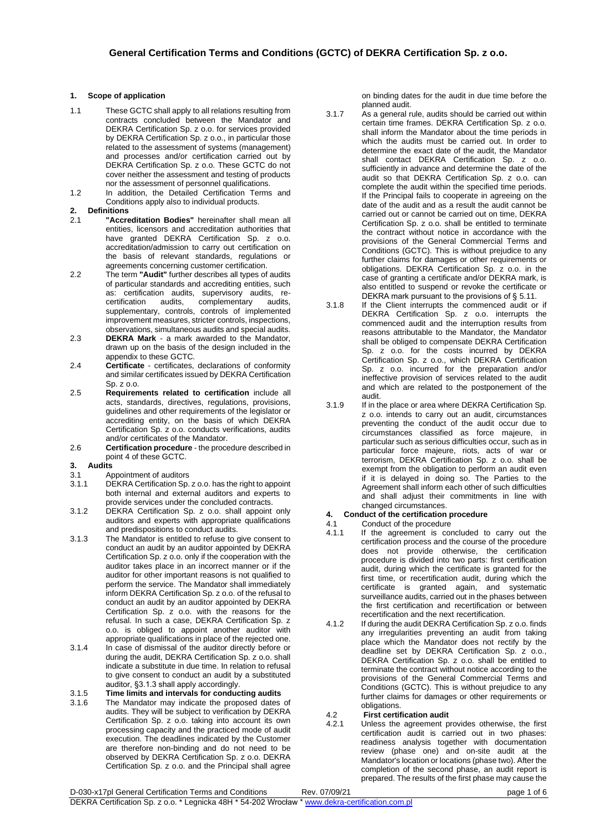## **1. Scope of application**

- 1.1 These GCTC shall apply to all relations resulting from contracts concluded between the Mandator and DEKRA Certification Sp. z o.o. for services provided by DEKRA Certification Sp. z o.o., in particular those related to the assessment of systems (management) and processes and/or certification carried out by DEKRA Certification Sp. z o.o. These GCTC do not cover neither the assessment and testing of products nor the assessment of personnel qualifications.
- 1.2 In addition, the Detailed Certification Terms and Conditions apply also to individual products.

# **2. Definitions**

- 2.1 **"Accreditation Bodies"** hereinafter shall mean all entities, licensors and accreditation authorities that have granted DEKRA Certification Sp. z o.o. accreditation/admission to carry out certification on the basis of relevant standards, regulations or agreements concerning customer certification.
- 2.2 The term **"Audit"** further describes all types of audits of particular standards and accrediting entities, such as: certification audits, supervisory audits, recertification audits, complementary audits, supplementary, controls, controls of implemented improvement measures, stricter controls, inspections, observations, simultaneous audits and special audits.
- 2.3 **DEKRA Mark** a mark awarded to the Mandator, drawn up on the basis of the design included in the appendix to these GCTC.
- 2.4 **Certificate** certificates, declarations of conformity and similar certificates issued by DEKRA Certification  $\text{Sn. z. } \Omega$ .o.
- 2.5 **Requirements related to certification** include all acts, standards, directives, regulations, provisions, guidelines and other requirements of the legislator or accrediting entity, on the basis of which DEKRA Certification Sp. z o.o. conducts verifications, audits and/or certificates of the Mandator.
- 2.6 **Certification procedure** the procedure described in point 4 of these GCTC.

### **3. Audits**

- 3.1 Appointment of auditors<br>3.1.1 DEKRA Certification Sp.
- DEKRA Certification Sp. z o.o. has the right to appoint both internal and external auditors and experts to provide services under the concluded contracts.
- 3.1.2 DEKRA Certification Sp. z o.o. shall appoint only auditors and experts with appropriate qualifications and predispositions to conduct audits.
- 3.1.3 The Mandator is entitled to refuse to give consent to conduct an audit by an auditor appointed by DEKRA Certification Sp. z o.o. only if the cooperation with the auditor takes place in an incorrect manner or if the auditor for other important reasons is not qualified to perform the service. The Mandator shall immediately inform DEKRA Certification Sp. z o.o. of the refusal to conduct an audit by an auditor appointed by DEKRA Certification Sp. z o.o. with the reasons for the refusal. In such a case, DEKRA Certification Sp. z o.o. is obliged to appoint another auditor with appropriate qualifications in place of the rejected one.
- 3.1.4 In case of dismissal of the auditor directly before or during the audit, DEKRA Certification Sp. z o.o. shall indicate a substitute in due time. In relation to refusal to give consent to conduct an audit by a substituted auditor, §3.1.3 shall apply accordingly.
- 3.1.5 **Time limits and intervals for conducting audits** 3.1.6 The Mandator may indicate the proposed dates of audits. They will be subject to verification by DEKRA Certification Sp. z o.o. taking into account its own processing capacity and the practiced mode of audit execution. The deadlines indicated by the Customer are therefore non-binding and do not need to be observed by DEKRA Certification Sp. z o.o. DEKRA Certification Sp. z o.o. and the Principal shall agree

on binding dates for the audit in due time before the planned audit.

- 3.1.7 As a general rule, audits should be carried out within certain time frames. DEKRA Certification Sp. z o.o. shall inform the Mandator about the time periods in which the audits must be carried out. In order to determine the exact date of the audit, the Mandator shall contact DEKRA Certification Sp. z o.o. sufficiently in advance and determine the date of the audit so that DEKRA Certification Sp. z o.o. can complete the audit within the specified time periods. If the Principal fails to cooperate in agreeing on the date of the audit and as a result the audit cannot be carried out or cannot be carried out on time, DEKRA Certification Sp. z o.o. shall be entitled to terminate the contract without notice in accordance with the provisions of the General Commercial Terms and Conditions (GCTC). This is without prejudice to any further claims for damages or other requirements or obligations. DEKRA Certification Sp. z o.o. in the case of granting a certificate and/or DEKRA mark, is also entitled to suspend or revoke the certificate or DEKRA mark pursuant to the provisions of § 5.11.
- 3.1.8 If the Client interrupts the commenced audit or if DEKRA Certification Sp. z o.o. interrupts the commenced audit and the interruption results from reasons attributable to the Mandator, the Mandator shall be obliged to compensate DEKRA Certification Sp. z o.o. for the costs incurred by DEKRA Certification Sp. z o.o., which DEKRA Certification Sp. z o.o. incurred for the preparation and/or ineffective provision of services related to the audit and which are related to the postponement of the audit.
- 3.1.9 If in the place or area where DEKRA Certification Sp. z o.o. intends to carry out an audit, circumstances preventing the conduct of the audit occur due to circumstances classified as force majeure, in particular such as serious difficulties occur, such as in particular force majeure, riots, acts of war or terrorism, DEKRA Certification Sp. z o.o. shall be exempt from the obligation to perform an audit even if it is delayed in doing so. The Parties to the Agreement shall inform each other of such difficulties and shall adjust their commitments in line with changed circumstances.

## **4. Conduct of the certification procedure**

- 4.1 Conduct of the procedure
- 4.1.1 If the agreement is concluded to carry out the certification process and the course of the procedure does not provide otherwise, the certification procedure is divided into two parts: first certification audit, during which the certificate is granted for the first time, or recertification audit, during which the certificate is granted again, and systematic surveillance audits, carried out in the phases between the first certification and recertification or between recertification and the next recertification.
- 4.1.2 If during the audit DEKRA Certification Sp. z o.o. finds any irregularities preventing an audit from taking place which the Mandator does not rectify by the deadline set by DEKRA Certification Sp. z o.o., DEKRA Certification Sp. z o.o. shall be entitled to terminate the contract without notice according to the provisions of the General Commercial Terms and Conditions (GCTC). This is without prejudice to any further claims for damages or other requirements or obligations.

# 4.2 **First certification audit**

4.2.1 Unless the agreement provides otherwise, the first certification audit is carried out in two phases: readiness analysis together with documentation review (phase one) and on-site audit at the Mandator's location or locations (phase two). After the completion of the second phase, an audit report is prepared. The results of the first phase may cause the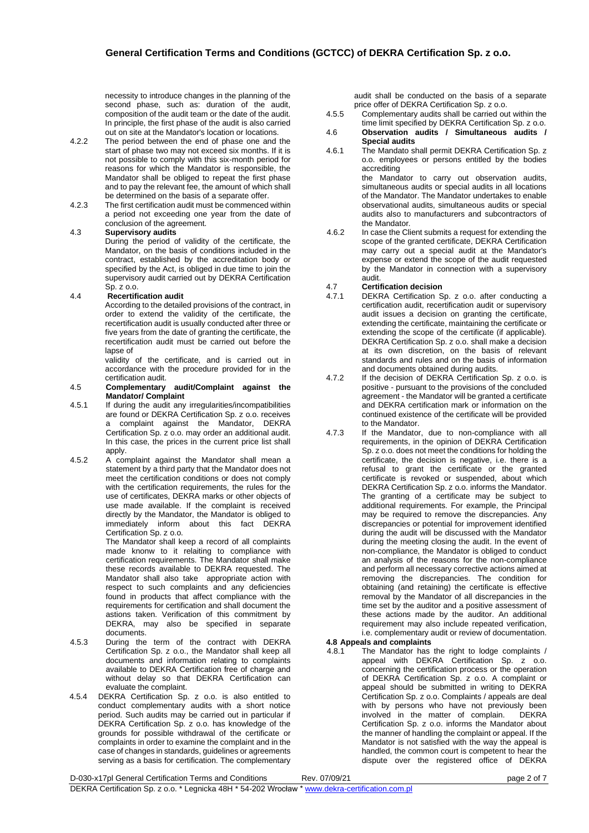necessity to introduce changes in the planning of the second phase, such as: duration of the audit, composition of the audit team or the date of the audit. In principle, the first phase of the audit is also carried out on site at the Mandator's location or locations.

- 4.2.2 The period between the end of phase one and the start of phase two may not exceed six months. If it is not possible to comply with this six-month period for reasons for which the Mandator is responsible, the Mandator shall be obliged to repeat the first phase and to pay the relevant fee, the amount of which shall be determined on the basis of a separate offer.
- 4.2.3 The first certification audit must be commenced within a period not exceeding one year from the date of conclusion of the agreement.

## 4.3 **Supervisory audits**

During the period of validity of the certificate, the Mandator, on the basis of conditions included in the contract, established by the accreditation body or specified by the Act, is obliged in due time to join the supervisory audit carried out by DEKRA Certification Sp. z o.o.

### 4.4 **Recertification audit**

According to the detailed provisions of the contract, in order to extend the validity of the certificate, the recertification audit is usually conducted after three or five years from the date of granting the certificate, the recertification audit must be carried out before the lapse of

validity of the certificate, and is carried out in accordance with the procedure provided for in the certification audit.

#### 4.5 **Complementary audit/Complaint against the Mandator/ Complaint**

- 4.5.1 If during the audit any irregularities/incompatibilities are found or DEKRA Certification Sp. z o.o. receives a complaint against the Mandator, DEKRA Certification Sp. z o.o. may order an additional audit. In this case, the prices in the current price list shall apply.
- 4.5.2 A complaint against the Mandator shall mean a statement by a third party that the Mandator does not meet the certification conditions or does not comply with the certification requirements, the rules for the use of certificates, DEKRA marks or other objects of use made available. If the complaint is received directly by the Mandator, the Mandator is obliged to immediately inform about this fact DEKRA Certification Sp. z o.o.

The Mandator shall keep a record of all complaints made knonw to it relaiting to compliance with certification requirements. The Mandator shall make these records available to DEKRA requested. The Mandator shall also take appropriate action with respect to such complaints and any deficiencies found in products that affect compliance with the requirements for certification and shall document the astions taken. Verification of this commitment by DEKRA, may also be specified in separate documents.

- 4.5.3 During the term of the contract with DEKRA Certification Sp. z o.o., the Mandator shall keep all documents and information relating to complaints available to DEKRA Certification free of charge and without delay so that DEKRA Certification can evaluate the complaint.
- 4.5.4 DEKRA Certification Sp. z o.o. is also entitled to conduct complementary audits with a short notice period. Such audits may be carried out in particular if DEKRA Certification Sp. z o.o. has knowledge of the grounds for possible withdrawal of the certificate or complaints in order to examine the complaint and in the case of changes in standards, guidelines or agreements serving as a basis for certification. The complementary

audit shall be conducted on the basis of a separate price offer of DEKRA Certification Sp. z o.o.

- 4.5.5 Complementary audits shall be carried out within the time limit specified by DEKRA Certification Sp. z o.o.
- 4.6 **Observation audits / Simultaneous audits / Special audits**
- 4.6.1 The Mandato shall permit DEKRA Certification Sp. z o.o. employees or persons entitled by the bodies accrediting the Mandator to carry out observation audits,

simultaneous audits or special audits in all locations of the Mandator. The Mandator undertakes to enable observational audits, simultaneous audits or special audits also to manufacturers and subcontractors of the Mandator.

4.6.2 In case the Client submits a request for extending the scope of the granted certificate, DEKRA Certification may carry out a special audit at the Mandator's expense or extend the scope of the audit requested by the Mandator in connection with a supervisory audit.

# 4.7 **Certification decision**

- DEKRA Certification Sp. z o.o. after conducting a certification audit, recertification audit or supervisory audit issues a decision on granting the certificate, extending the certificate, maintaining the certificate or extending the scope of the certificate (if applicable). DEKRA Certification Sp. z o.o. shall make a decision at its own discretion, on the basis of relevant standards and rules and on the basis of information and documents obtained during audits.
- 4.7.2 If the decision of DEKRA Certification Sp. z o.o. is positive - pursuant to the provisions of the concluded agreement - the Mandator will be granted a certificate and DEKRA certification mark or information on the continued existence of the certificate will be provided to the Mandator.
- 4.7.3 If the Mandator, due to non-compliance with all requirements, in the opinion of DEKRA Certification Sp. z o.o. does not meet the conditions for holding the certificate, the decision is negative, i.e. there is a refusal to grant the certificate or the granted certificate is revoked or suspended, about which DEKRA Certification Sp. z o.o. informs the Mandator. The granting of a certificate may be subject to additional requirements. For example, the Principal may be required to remove the discrepancies. Any discrepancies or potential for improvement identified during the audit will be discussed with the Mandator during the meeting closing the audit. In the event of non-compliance, the Mandator is obliged to conduct an analysis of the reasons for the non-compliance and perform all necessary corrective actions aimed at removing the discrepancies. The condition for obtaining (and retaining) the certificate is effective removal by the Mandator of all discrepancies in the time set by the auditor and a positive assessment of these actions made by the auditor. An additional requirement may also include repeated verification, i.e. complementary audit or review of documentation.

## **4.8 Appeals and complaints**

4.8.1 The Mandator has the right to lodge complaints / appeal with DEKRA Certification Sp. z o.o. concerning the certification process or the operation of DEKRA Certification Sp. z o.o. A complaint or appeal should be submitted in writing to DEKRA Certification Sp. z o.o. Complaints / appeals are deal with by persons who have not previously been involved in the matter of complain. DEKRA Certification Sp. z o.o. informs the Mandator about the manner of handling the complaint or appeal. If the Mandator is not satisfied with the way the appeal is handled, the common court is competent to hear the dispute over the registered office of DEKRA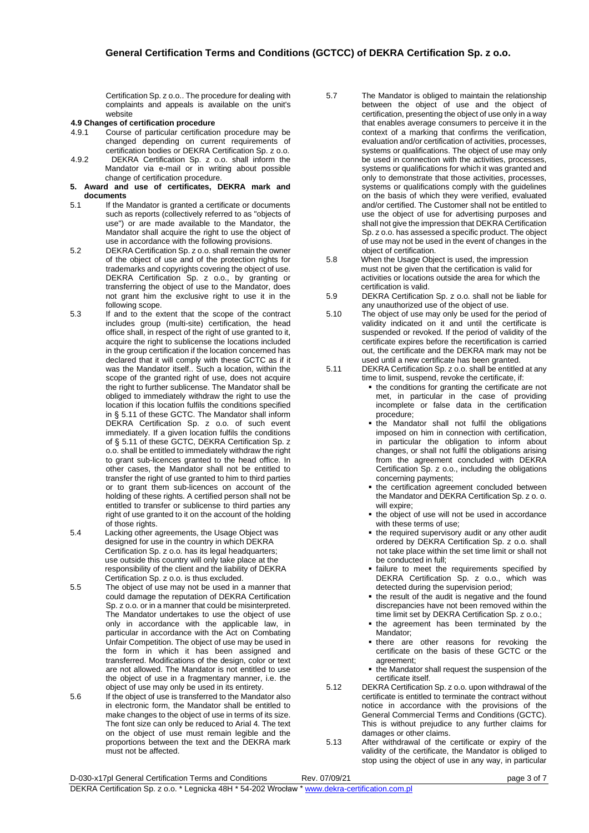Certification Sp. z o.o.. The procedure for dealing with complaints and appeals is available on the unit's website

## **4.9 Changes of certification procedure**

- 4.9.1 Course of particular certification procedure may be changed depending on current requirements of certification bodies or DEKRA Certification Sp. z o.o.
- 4.9.2 DEKRA Certification Sp. z o.o. shall inform the Mandator via e-mail or in writing about possible change of certification procedure.
- **5. Award and use of certificates, DEKRA mark and documents**
- 5.1 If the Mandator is granted a certificate or documents such as reports (collectively referred to as "objects of use") or are made available to the Mandator, the Mandator shall acquire the right to use the object of use in accordance with the following provisions.
- 5.2 DEKRA Certification Sp. z o.o. shall remain the owner of the object of use and of the protection rights for trademarks and copyrights covering the object of use. DEKRA Certification Sp. z o.o., by granting or transferring the object of use to the Mandator, does not grant him the exclusive right to use it in the following scope.
- 5.3 If and to the extent that the scope of the contract includes group (multi-site) certification, the head office shall, in respect of the right of use granted to it, acquire the right to sublicense the locations included in the group certification if the location concerned has declared that it will comply with these GCTC as if it was the Mandator itself.. Such a location, within the scope of the granted right of use, does not acquire the right to further sublicense. The Mandator shall be obliged to immediately withdraw the right to use the location if this location fulfils the conditions specified in § 5.11 of these GCTC. The Mandator shall inform DEKRA Certification Sp. z o.o. of such event immediately. If a given location fulfils the conditions of § 5.11 of these GCTC, DEKRA Certification Sp. z o.o. shall be entitled to immediately withdraw the right to grant sub-licences granted to the head office. In other cases, the Mandator shall not be entitled to transfer the right of use granted to him to third parties or to grant them sub-licences on account of the holding of these rights. A certified person shall not be entitled to transfer or sublicense to third parties any right of use granted to it on the account of the holding of those rights.
- 5.4 Lacking other agreements, the Usage Object was designed for use in the country in which DEKRA Certification Sp. z o.o. has its legal headquarters; use outside this country will only take place at the responsibility of the client and the liability of DEKRA Certification Sp. z o.o. is thus excluded.
- 5.5 The object of use may not be used in a manner that could damage the reputation of DEKRA Certification Sp. z o.o. or in a manner that could be misinterpreted. The Mandator undertakes to use the object of use only in accordance with the applicable law, in particular in accordance with the Act on Combating Unfair Competition. The object of use may be used in the form in which it has been assigned and transferred. Modifications of the design, color or text are not allowed. The Mandator is not entitled to use the object of use in a fragmentary manner, i.e. the object of use may only be used in its entirety.
- 5.6 If the object of use is transferred to the Mandator also in electronic form, the Mandator shall be entitled to make changes to the object of use in terms of its size. The font size can only be reduced to Arial 4. The text on the object of use must remain legible and the proportions between the text and the DEKRA mark must not be affected.
- 5.7 The Mandator is obliged to maintain the relationship between the object of use and the object of certification, presenting the object of use only in a way that enables average consumers to perceive it in the context of a marking that confirms the verification, evaluation and/or certification of activities, processes, systems or qualifications. The object of use may only be used in connection with the activities, processes, systems or qualifications for which it was granted and only to demonstrate that those activities, processes, systems or qualifications comply with the guidelines on the basis of which they were verified, evaluated and/or certified. The Customer shall not be entitled to use the object of use for advertising purposes and shall not give the impression that DEKRA Certification Sp. z o.o. has assessed a specific product. The object of use may not be used in the event of changes in the object of certification.
- 5.8 When the Usage Object is used, the impression must not be given that the certification is valid for activities or locations outside the area for which the certification is valid.
- 5.9 DEKRA Certification Sp. z o.o. shall not be liable for any unauthorized use of the object of use.
- 5.10 The object of use may only be used for the period of validity indicated on it and until the certificate is suspended or revoked. If the period of validity of the certificate expires before the recertification is carried out, the certificate and the DEKRA mark may not be used until a new certificate has been granted.
- 5.11 DEKRA Certification Sp. z o.o. shall be entitled at any time to limit, suspend, revoke the certificate, if:
	- **.** the conditions for granting the certificate are not met, in particular in the case of providing incomplete or false data in the certification procedure;
	- **.** the Mandator shall not fulfil the obligations imposed on him in connection with certification, in particular the obligation to inform about changes, or shall not fulfil the obligations arising from the agreement concluded with DEKRA Certification Sp. z o.o., including the obligations concerning payments;
	- **.** the certification agreement concluded between the Mandator and DEKRA Certification Sp. z o. o. will expire;
	- the object of use will not be used in accordance with these terms of use;
	- **.** the required supervisory audit or any other audit ordered by DEKRA Certification Sp. z o.o. shall not take place within the set time limit or shall not be conducted in full;
	- **·** failure to meet the requirements specified by DEKRA Certification Sp. z o.o., which was detected during the supervision period;
	- the result of the audit is negative and the found discrepancies have not been removed within the time limit set by DEKRA Certification Sp. z o.o.;
	- the agreement has been terminated by the Mandator;
	- **there are other reasons for revoking the** certificate on the basis of these GCTC or the agreement;
	- the Mandator shall request the suspension of the certificate itself.
- 5.12 DEKRA Certification Sp. z o.o. upon withdrawal of the certificate is entitled to terminate the contract without notice in accordance with the provisions of the General Commercial Terms and Conditions (GCTC). This is without prejudice to any further claims for damages or other claims.
- 5.13 After withdrawal of the certificate or expiry of the validity of the certificate, the Mandator is obliged to stop using the object of use in any way, in particular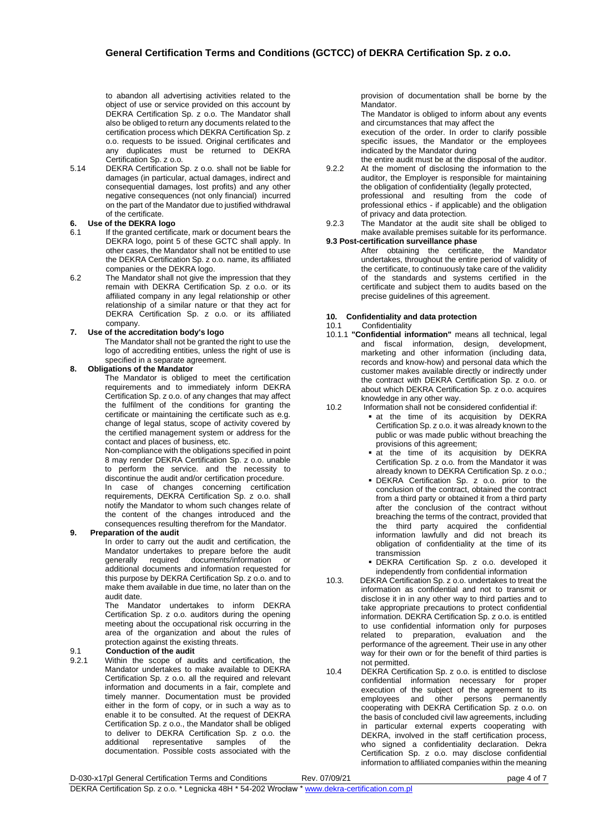to abandon all advertising activities related to the object of use or service provided on this account by DEKRA Certification Sp. z o.o. The Mandator shall also be obliged to return any documents related to the certification process which DEKRA Certification Sp. z o.o. requests to be issued. Original certificates and any duplicates must be returned to DEKRA Certification Sp. z o.o.

5.14 DEKRA Certification Sp. z o.o. shall not be liable for damages (in particular, actual damages, indirect and consequential damages, lost profits) and any other negative consequences (not only financial) incurred on the part of the Mandator due to justified withdrawal of the certificate.

# **6. Use of the DEKRA logo**

- If the granted certificate, mark or document bears the DEKRA logo, point 5 of these GCTC shall apply. In other cases, the Mandator shall not be entitled to use the DEKRA Certification Sp. z o.o. name, its affiliated companies or the DEKRA logo.
- 6.2 The Mandator shall not give the impression that they remain with DEKRA Certification Sp. z o.o. or its affiliated company in any legal relationship or other relationship of a similar nature or that they act for DEKRA Certification Sp. z o.o. or its affiliated company.

#### **7. Use of the accreditation body's logo**

The Mandator shall not be granted the right to use the logo of accrediting entities, unless the right of use is specified in a separate agreement.

#### **8. Obligations of the Mandator**

The Mandator is obliged to meet the certification requirements and to immediately inform DEKRA Certification Sp. z o.o. of any changes that may affect the fulfilment of the conditions for granting the certificate or maintaining the certificate such as e.g. change of legal status, scope of activity covered by the certified management system or address for the contact and places of business, etc.

Non-compliance with the obligations specified in point 8 may render DEKRA Certification Sp. z o.o. unable to perform the service. and the necessity to discontinue the audit and/or certification procedure.

In case of changes concerning certification requirements, DEKRA Certification Sp. z o.o. shall notify the Mandator to whom such changes relate of the content of the changes introduced and the consequences resulting therefrom for the Mandator.

### **9. Preparation of the audit**

.<br>In order to carry out the audit and certification, the Mandator undertakes to prepare before the audit generally required documents/information or additional documents and information requested for this purpose by DEKRA Certification Sp. z o.o. and to make them available in due time, no later than on the audit date.

The Mandator undertakes to inform DEKRA Certification Sp. z o.o. auditors during the opening meeting about the occupational risk occurring in the area of the organization and about the rules of protection against the existing threats.

### 9.1 **Conduction of the audit**

9.2.1 Within the scope of audits and certification, the Mandator undertakes to make available to DEKRA Certification Sp. z o.o. all the required and relevant information and documents in a fair, complete and timely manner. Documentation must be provided either in the form of copy, or in such a way as to enable it to be consulted. At the request of DEKRA Certification Sp. z o.o., the Mandator shall be obliged to deliver to DEKRA Certification Sp. z o.o. the additional representative samples of the representative samples of the documentation. Possible costs associated with the

provision of documentation shall be borne by the Mandator.

The Mandator is obliged to inform about any events and circumstances that may affect the

execution of the order. In order to clarify possible specific issues, the Mandator or the employees indicated by the Mandator during

- the entire audit must be at the disposal of the auditor. 9.2.2 At the moment of disclosing the information to the auditor, the Employer is responsible for maintaining the obligation of confidentiality (legally protected, professional and resulting from the code of professional ethics - if applicable) and the obligation of privacy and data protection.
- 9.2.3 The Mandator at the audit site shall be obliged to make available premises suitable for its performance.

### **9.3 Post-certification surveillance phase**

After obtaining the certificate, the Mandator undertakes, throughout the entire period of validity of the certificate, to continuously take care of the validity of the standards and systems certified in the certificate and subject them to audits based on the precise guidelines of this agreement.

#### **10. Confidentiality and data protection**

#### 10.1 Confidentiality

10.1.1 **"Confidential information"** means all technical, legal and fiscal information, design, development, marketing and other information (including data, records and know-how) and personal data which the customer makes available directly or indirectly under the contract with DEKRA Certification Sp. z o.o. or about which DEKRA Certification Sp. z o.o. acquires knowledge in any other way.

#### 10.2 Information shall not be considered confidential if:

- **a** at the time of its acquisition by DEKRA Certification Sp. z o.o. it was already known to the public or was made public without breaching the provisions of this agreement;
- **•** at the time of its acquisition by DEKRA Certification Sp. z o.o. from the Mandator it was already known to DEKRA Certification Sp. z o.o.;
- **· DEKRA Certification Sp. z o.o. prior to the** conclusion of the contract, obtained the contract from a third party or obtained it from a third party after the conclusion of the contract without breaching the terms of the contract, provided that the third party acquired the confidential information lawfully and did not breach its obligation of confidentiality at the time of its transmission
- DEKRA Certification Sp. z o.o. developed it independently from confidential information
- 10.3. DEKRA Certification Sp. z o.o. undertakes to treat the information as confidential and not to transmit or disclose it in in any other way to third parties and to take appropriate precautions to protect confidential information. DEKRA Certification Sp. z o.o. is entitled to use confidential information only for purposes related to preparation, evaluation and the performance of the agreement. Their use in any other way for their own or for the benefit of third parties is not permitted.

10.4 DEKRA Certification Sp. z o.o. is entitled to disclose confidential information necessary for proper execution of the subject of the agreement to its employees and other persons permanently cooperating with DEKRA Certification Sp. z o.o. on the basis of concluded civil law agreements, including in particular external experts cooperating with DEKRA, involved in the staff certification process, who signed a confidentiality declaration. Dekra Certification Sp. z o.o. may disclose confidential information to affiliated companies within the meaning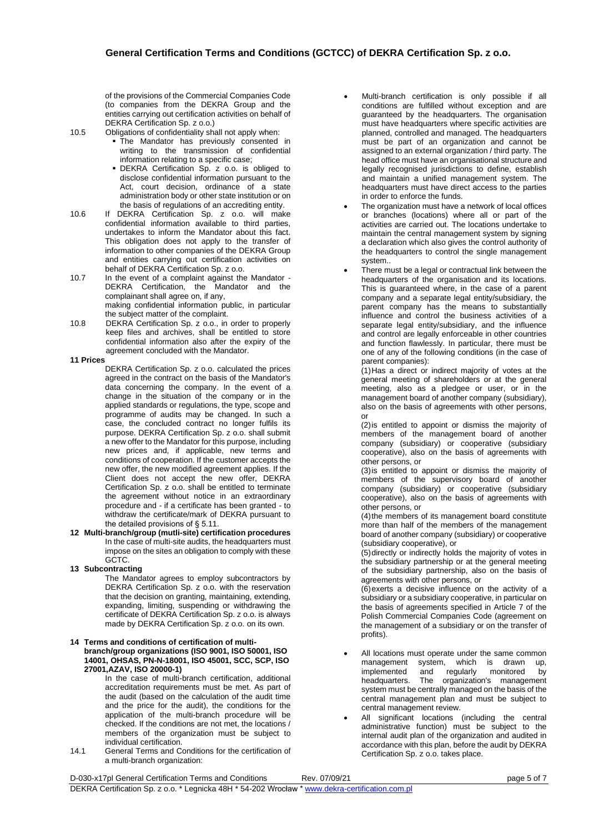of the provisions of the Commercial Companies Code (to companies from the DEKRA Group and the entities carrying out certification activities on behalf of DEKRA Certification Sp. z o.o.)

- 10.5 Obligations of confidentiality shall not apply when:
	- **The Mandator has previously consented in** writing to the transmission of confidential information relating to a specific case;
	- DEKRA Certification Sp. z o.o. is obliged to disclose confidential information pursuant to the Act, court decision, ordinance of a state administration body or other state institution or on the basis of regulations of an accrediting entity.
- 10.6 If DEKRA Certification Sp. z o.o. will make confidential information available to third parties, undertakes to inform the Mandator about this fact. This obligation does not apply to the transfer of information to other companies of the DEKRA Group and entities carrying out certification activities on behalf of DEKRA Certification Sp. z o.o.
- 10.7 In the event of a complaint against the Mandator DEKRA Certification, the Mandator and the complainant shall agree on, if any, making confidential information public, in particular the subject matter of the complaint.
- 10.8 DEKRA Certification Sp. z o.o., in order to properly keep files and archives, shall be entitled to store confidential information also after the expiry of the agreement concluded with the Mandator.

#### **11 Prices**

- DEKRA Certification Sp. z o.o. calculated the prices agreed in the contract on the basis of the Mandator's data concerning the company. In the event of a change in the situation of the company or in the applied standards or regulations, the type, scope and programme of audits may be changed. In such a case, the concluded contract no longer fulfils its purpose. DEKRA Certification Sp. z o.o. shall submit a new offer to the Mandator for this purpose, including new prices and, if applicable, new terms and conditions of cooperation. If the customer accepts the new offer, the new modified agreement applies. If the Client does not accept the new offer, DEKRA Certification Sp. z o.o. shall be entitled to terminate the agreement without notice in an extraordinary procedure and - if a certificate has been granted - to withdraw the certificate/mark of DEKRA pursuant to the detailed provisions of § 5.11.
- **12 Multi-branch/group (mutli-site) certification procedures** In the case of multi-site audits, the headquarters must impose on the sites an obligation to comply with these GCTC.

#### **13 Subcontracting**

The Mandator agrees to employ subcontractors by DEKRA Certification Sp. z o.o. with the reservation that the decision on granting, maintaining, extending, expanding, limiting, suspending or withdrawing the certificate of DEKRA Certification Sp. z o.o. is always made by DEKRA Certification Sp. z o.o. on its own.

#### **14 Terms and conditions of certification of multi-**

**branch/group organizations (ISO 9001, ISO 50001, ISO 14001, OHSAS, PN-N-18001, ISO 45001, SCC, SCP, ISO 27001,AZAV, ISO 20000-1)**

In the case of multi-branch certification, additional accreditation requirements must be met. As part of the audit (based on the calculation of the audit time and the price for the audit), the conditions for the application of the multi-branch procedure will be checked. If the conditions are not met, the locations / members of the organization must be subject to individual certification.

14.1 General Terms and Conditions for the certification of a multi-branch organization:

- Multi-branch certification is only possible if all conditions are fulfilled without exception and are guaranteed by the headquarters. The organisation must have headquarters where specific activities are planned, controlled and managed. The headquarters must be part of an organization and cannot be assigned to an external organization / third party. The head office must have an organisational structure and legally recognised jurisdictions to define, establish and maintain a unified management system. The headquarters must have direct access to the parties in order to enforce the funds.
- The organization must have a network of local offices or branches (locations) where all or part of the activities are carried out. The locations undertake to maintain the central management system by signing a declaration which also gives the control authority of the headquarters to control the single management system..
- There must be a legal or contractual link between the headquarters of the organisation and its locations. This is guaranteed where, in the case of a parent company and a separate legal entity/subsidiary, the parent company has the means to substantially influence and control the business activities of a separate legal entity/subsidiary, and the influence and control are legally enforceable in other countries and function flawlessly. In particular, there must be one of any of the following conditions (in the case of parent companies):

(1)Has a direct or indirect majority of votes at the general meeting of shareholders or at the general meeting, also as a pledgee or user, or in the management board of another company (subsidiary), also on the basis of agreements with other persons, or

(2)is entitled to appoint or dismiss the majority of members of the management board of another company (subsidiary) or cooperative (subsidiary cooperative), also on the basis of agreements with other persons, or

(3)is entitled to appoint or dismiss the majority of members of the supervisory board of another company (subsidiary) or cooperative (subsidiary cooperative), also on the basis of agreements with other persons, or

(4)the members of its management board constitute more than half of the members of the management board of another company (subsidiary) or cooperative (subsidiary cooperative), or

(5)directly or indirectly holds the majority of votes in the subsidiary partnership or at the general meeting of the subsidiary partnership, also on the basis of agreements with other persons, or

(6)exerts a decisive influence on the activity of a subsidiary or a subsidiary cooperative, in particular on the basis of agreements specified in Article 7 of the Polish Commercial Companies Code (agreement on the management of a subsidiary or on the transfer of profits).

- All locations must operate under the same common management system, which is drawn up, implemented and regularly monitored by<br>headquarters. The organization's management The organization's management system must be centrally managed on the basis of the central management plan and must be subject to central management review.
- All significant locations (including the central administrative function) must be subject to the internal audit plan of the organization and audited in accordance with this plan, before the audit by DEKRA Certification Sp. z o.o. takes place.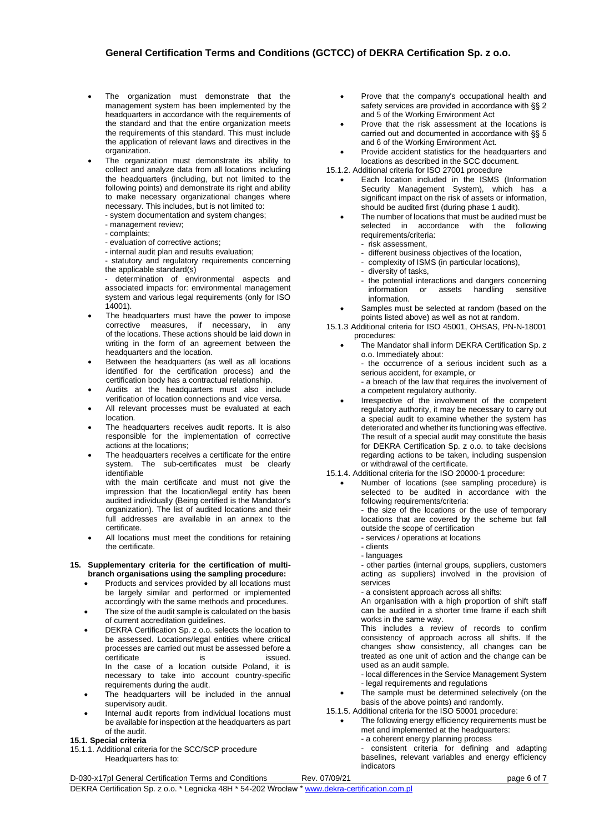# **General Certification Terms and Conditions (GCTCC) of DEKRA Certification Sp. z o.o.**

- The organization must demonstrate that the management system has been implemented by the headquarters in accordance with the requirements of the standard and that the entire organization meets the requirements of this standard. This must include the application of relevant laws and directives in the organization
- The organization must demonstrate its ability to collect and analyze data from all locations including the headquarters (including, but not limited to the following points) and demonstrate its right and ability to make necessary organizational changes where necessary. This includes, but is not limited to:
	- system documentation and system changes;
	- management review;
	- complaints;
	- evaluation of corrective actions;
	- internal audit plan and results evaluation;
	- statutory and regulatory requirements concerning the applicable standard(s)

determination of environmental aspects and associated impacts for: environmental management system and various legal requirements (only for ISO 14001).

- The headquarters must have the power to impose corrective measures, if necessary, in any of the locations. These actions should be laid down in writing in the form of an agreement between the headquarters and the location.
- Between the headquarters (as well as all locations identified for the certification process) and the certification body has a contractual relationship.
- Audits at the headquarters must also include verification of location connections and vice versa.
- All relevant processes must be evaluated at each location.
- The headquarters receives audit reports. It is also responsible for the implementation of corrective actions at the locations;
- The headquarters receives a certificate for the entire system. The sub-certificates must be clearly identifiable

with the main certificate and must not give the impression that the location/legal entity has been audited individually (Being certified is the Mandator's organization). The list of audited locations and their full addresses are available in an annex to the certificate.

All locations must meet the conditions for retaining the certificate.

#### **15. Supplementary criteria for the certification of multibranch organisations using the sampling procedure:**

- Products and services provided by all locations must be largely similar and performed or implemented accordingly with the same methods and procedures.
- The size of the audit sample is calculated on the basis of current accreditation guidelines.
- DEKRA Certification Sp. z o.o. selects the location to be assessed. Locations/legal entities where critical processes are carried out must be assessed before a certificate is is issued. In the case of a location outside Poland, it is necessary to take into account country-specific requirements during the audit.
- The headquarters will be included in the annual supervisory audit.
- Internal audit reports from individual locations must be available for inspection at the headquarters as part of the audit.

### **15.1. Special criteria**

15.1.1. Additional criteria for the SCC/SCP procedure Headquarters has to:

- Prove that the company's occupational health and safety services are provided in accordance with §§ 2 and 5 of the Working Environment Act
- Prove that the risk assessment at the locations is carried out and documented in accordance with §§ 5 and 6 of the Working Environment Act.
- Provide accident statistics for the headquarters and locations as described in the SCC document.
- 15.1.2. Additional criteria for ISO 27001 procedure
	- Each location included in the ISMS (Information Security Management System), which has a significant impact on the risk of assets or information, should be audited first (during phase 1 audit).
	- The number of locations that must be audited must be selected in accordance with the following requirements/criteria:
		- risk assessment,
		- different business objectives of the location,
		- complexity of ISMS (in particular locations),
		- diversity of tasks,
		- the potential interactions and dangers concerning<br>information or assets handling sensitive assets handling information.
		- Samples must be selected at random (based on the points listed above) as well as not at random.
- 15.1.3 Additional criteria for ISO 45001, OHSAS, PN-N-18001 procedures:
	- The Mandator shall inform DEKRA Certification Sp. z o.o. Immediately about: - the occurrence of a serious incident such as a serious accident, for example, or - a breach of the law that requires the involvement of

a competent regulatory authority.

Irrespective of the involvement of the competent regulatory authority, it may be necessary to carry out a special audit to examine whether the system has deteriorated and whether its functioning was effective. The result of a special audit may constitute the basis for DEKRA Certification Sp. z o.o. to take decisions regarding actions to be taken, including suspension or withdrawal of the certificate.

#### 15.1.4. Additional criteria for the ISO 20000-1 procedure:

• Number of locations (see sampling procedure) is selected to be audited in accordance with the following requirements/criteria:

- the size of the locations or the use of temporary locations that are covered by the scheme but fall outside the scope of certification

- services / operations at locations
- clients
- languages

- other parties (internal groups, suppliers, customers acting as suppliers) involved in the provision of services

- a consistent approach across all shifts:

An organisation with a high proportion of shift staff can be audited in a shorter time frame if each shift works in the same way.

This includes a review of records to confirm consistency of approach across all shifts. If the changes show consistency, all changes can be treated as one unit of action and the change can be used as an audit sample.

- local differences in the Service Management System - legal requirements and regulations

- The sample must be determined selectively (on the
- basis of the above points) and randomly.
- 15.1.5. Additional criteria for the ISO 50001 procedure:
	- The following energy efficiency requirements must be met and implemented at the headquarters:
		- a coherent energy planning process

- consistent criteria for defining and adapting baselines, relevant variables and energy efficiency indicators